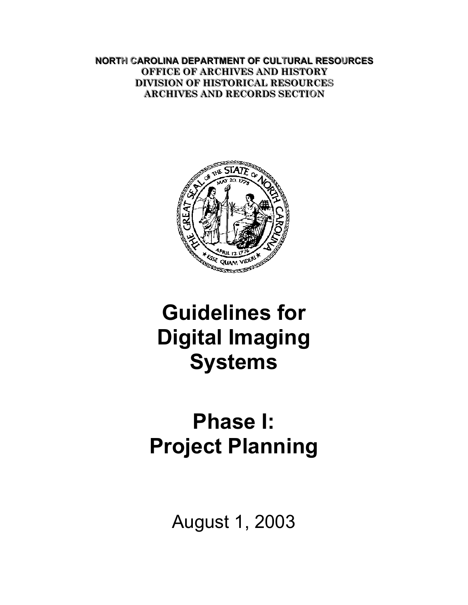**NORTH CAROLINA DEPARTMENT OF CULTURAL RESOURCES OFFICE OF ARCHIVES AND HISTORY DIVISION OF HISTORICAL RESOURCES ARCHIVES AND RECORDS SECTION** 



# **Guidelines for Digital Imaging Systems**

# **Phase I: Project Planning**

August 1, 2003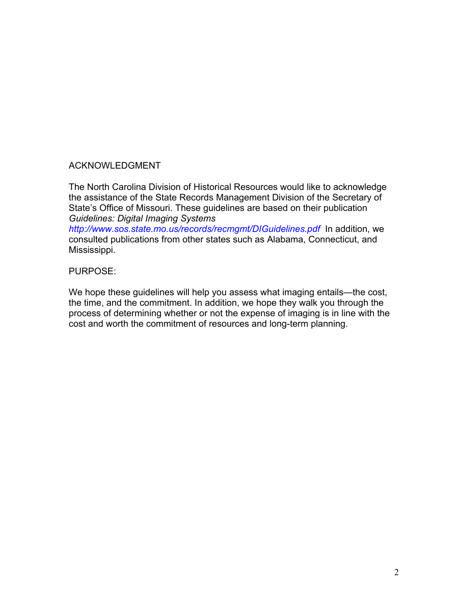### ACKNOWLEDGMENT

The North Carolina Division of Historical Resources would like to acknowledge the assistance of the State Records Management Division of the Secretary of State's Office of Missouri. These guidelines are based on their publication *Guidelines: Digital Imaging Systems*

*<http://www.sos.state.mo.us/records/recmgmt/DIGuidelines.pdf>* In addition, we consulted publications from other states such as Alabama, Connecticut, and Mississippi.

#### PURPOSE:

We hope these guidelines will help you assess what imaging entails—the cost, the time, and the commitment. In addition, we hope they walk you through the process of determining whether or not the expense of imaging is in line with the cost and worth the commitment of resources and long-term planning.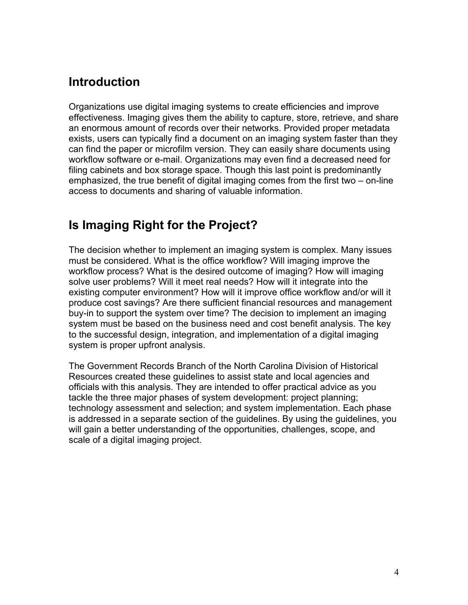### <span id="page-3-0"></span>**Introduction**

Organizations use digital imaging systems to create efficiencies and improve effectiveness. Imaging gives them the ability to capture, store, retrieve, and share an enormous amount of records over their networks. Provided proper metadata exists, users can typically find a document on an imaging system faster than they can find the paper or microfilm version. They can easily share documents using workflow software or e-mail. Organizations may even find a decreased need for filing cabinets and box storage space. Though this last point is predominantly emphasized, the true benefit of digital imaging comes from the first two – on-line access to documents and sharing of valuable information.

## **Is Imaging Right for the Project?**

The decision whether to implement an imaging system is complex. Many issues must be considered. What is the office workflow? Will imaging improve the workflow process? What is the desired outcome of imaging? How will imaging solve user problems? Will it meet real needs? How will it integrate into the existing computer environment? How will it improve office workflow and/or will it produce cost savings? Are there sufficient financial resources and management buy-in to support the system over time? The decision to implement an imaging system must be based on the business need and cost benefit analysis. The key to the successful design, integration, and implementation of a digital imaging system is proper upfront analysis.

The Government Records Branch of the North Carolina Division of Historical Resources created these guidelines to assist state and local agencies and officials with this analysis. They are intended to offer practical advice as you tackle the three major phases of system development: project planning; technology assessment and selection; and system implementation. Each phase is addressed in a separate section of the guidelines. By using the guidelines, you will gain a better understanding of the opportunities, challenges, scope, and scale of a digital imaging project.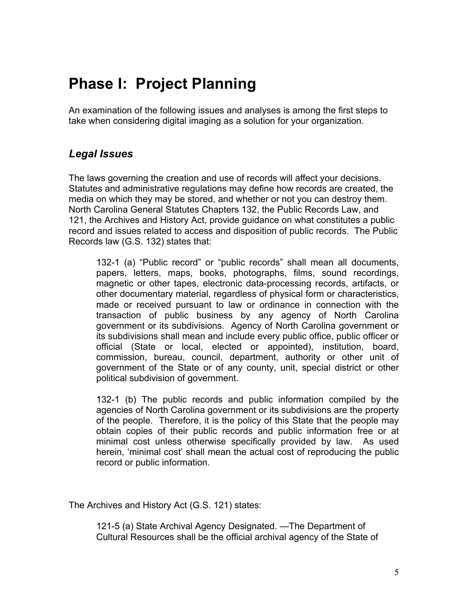## <span id="page-4-0"></span>**Phase I: Project Planning**

An examination of the following issues and analyses is among the first steps to take when considering digital imaging as a solution for your organization.

### *Legal Issues*

The laws governing the creation and use of records will affect your decisions. Statutes and administrative regulations may define how records are created, the media on which they may be stored, and whether or not you can destroy them. North Carolina General Statutes Chapters 132, the Public Records Law, and 121, the Archives and History Act, provide guidance on what constitutes a public record and issues related to access and disposition of public records. The Public Records law (G.S. 132) states that:

132-1 (a) "Public record" or "public records" shall mean all documents, papers, letters, maps, books, photographs, films, sound recordings, magnetic or other tapes, electronic data-processing records, artifacts, or other documentary material, regardless of physical form or characteristics, made or received pursuant to law or ordinance in connection with the transaction of public business by any agency of North Carolina government or its subdivisions. Agency of North Carolina government or its subdivisions shall mean and include every public office, public officer or official (State or local, elected or appointed), institution, board, commission, bureau, council, department, authority or other unit of government of the State or of any county, unit, special district or other political subdivision of government.

132-1 (b) The public records and public information compiled by the agencies of North Carolina government or its subdivisions are the property of the people. Therefore, it is the policy of this State that the people may obtain copies of their public records and public information free or at minimal cost unless otherwise specifically provided by law. As used herein, 'minimal cost' shall mean the actual cost of reproducing the public record or public information.

The Archives and History Act (G.S. 121) states:

121-5 (a) State Archival Agency Designated. —The Department of Cultural Resources shall be the official archival agency of the State of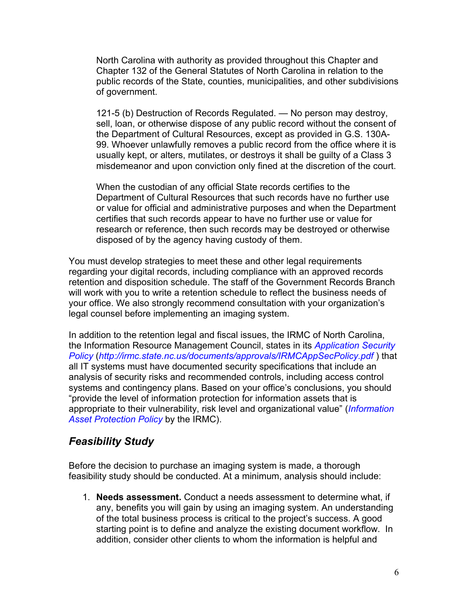<span id="page-5-0"></span>North Carolina with authority as provided throughout this Chapter and Chapter 132 of the General Statutes of North Carolina in relation to the public records of the State, counties, municipalities, and other subdivisions of government.

121-5 (b) Destruction of Records Regulated. — No person may destroy, sell, loan, or otherwise dispose of any public record without the consent of the Department of Cultural Resources, except as provided in G.S. 130A-99. Whoever unlawfully removes a public record from the office where it is usually kept, or alters, mutilates, or destroys it shall be guilty of a Class 3 misdemeanor and upon conviction only fined at the discretion of the court.

When the custodian of any official State records certifies to the Department of Cultural Resources that such records have no further use or value for official and administrative purposes and when the Department certifies that such records appear to have no further use or value for research or reference, then such records may be destroyed or otherwise disposed of by the agency having custody of them.

You must develop strategies to meet these and other legal requirements regarding your digital records, including compliance with an approved records retention and disposition schedule. The staff of the Government Records Branch will work with you to write a retention schedule to reflect the business needs of your office. We also strongly recommend consultation with your organization's legal counsel before implementing an imaging system.

In addition to the retention legal and fiscal issues, the IRMC of North Carolina, the Information Resource Management Council, states in its *[Application Security](http://irmc.state.nc.us/documents/approvals/IRMCAppSecPolicy.pdf)  [Policy](http://irmc.state.nc.us/documents/approvals/IRMCAppSecPolicy.pdf)* (*<http://irmc.state.nc.us/documents/approvals/IRMCAppSecPolicy.pdf>* ) that all IT systems must have documented security specifications that include an analysis of security risks and recommended controls, including access control systems and contingency plans. Based on your office's conclusions, you should "provide the level of information protection for information assets that is appropriate to their vulnerability, risk level and organizational value" (*[Information](http://irmc.state.nc.us/documents/approvals/reporting/InformationAssetProtection.pdf)  [Asset Protection Policy](http://irmc.state.nc.us/documents/approvals/reporting/InformationAssetProtection.pdf)* by the IRMC).

### *Feasibility Study*

Before the decision to purchase an imaging system is made, a thorough feasibility study should be conducted. At a minimum, analysis should include:

1. **Needs assessment.** Conduct a needs assessment to determine what, if any, benefits you will gain by using an imaging system. An understanding of the total business process is critical to the project's success. A good starting point is to define and analyze the existing document workflow. In addition, consider other clients to whom the information is helpful and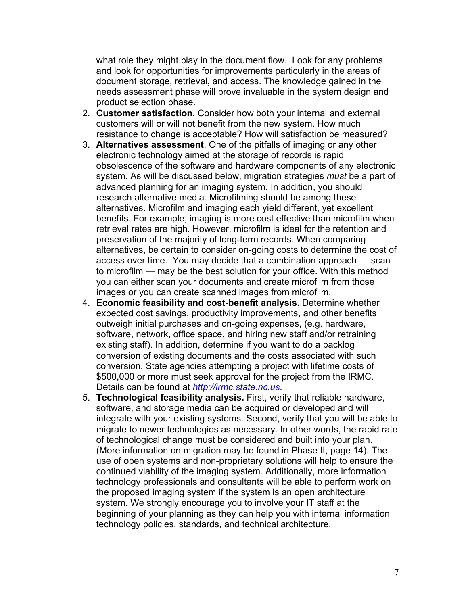what role they might play in the document flow. Look for any problems and look for opportunities for improvements particularly in the areas of document storage, retrieval, and access. The knowledge gained in the needs assessment phase will prove invaluable in the system design and product selection phase.

- 2. **Customer satisfaction.** Consider how both your internal and external customers will or will not benefit from the new system. How much resistance to change is acceptable? How will satisfaction be measured?
- 3. **Alternatives assessment**. One of the pitfalls of imaging or any other electronic technology aimed at the storage of records is rapid obsolescence of the software and hardware components of any electronic system. As will be discussed below, migration strategies *must* be a part of advanced planning for an imaging system. In addition, you should research alternative media. Microfilming should be among these alternatives. Microfilm and imaging each yield different, yet excellent benefits. For example, imaging is more cost effective than microfilm when retrieval rates are high. However, microfilm is ideal for the retention and preservation of the majority of long-term records. When comparing alternatives, be certain to consider on-going costs to determine the cost of access over time. You may decide that a combination approach — scan to microfilm — may be the best solution for your office. With this method you can either scan your documents and create microfilm from those images or you can create scanned images from microfilm.
- 4. **Economic feasibility and cost-benefit analysis.** Determine whether expected cost savings, productivity improvements, and other benefits outweigh initial purchases and on-going expenses, (e.g. hardware, software, network, office space, and hiring new staff and/or retraining existing staff). In addition, determine if you want to do a backlog conversion of existing documents and the costs associated with such conversion. State agencies attempting a project with lifetime costs of \$500,000 or more must seek approval for the project from the IRMC. Details can be found at *[http://irmc.state.nc.us](http://irmc.state.nc.us/)*.
- 5. **Technological feasibility analysis.** First, verify that reliable hardware, software, and storage media can be acquired or developed and will integrate with your existing systems. Second, verify that you will be able to migrate to newer technologies as necessary. In other words, the rapid rate of technological change must be considered and built into your plan. (More information on migration may be found in Phase II, page 14). The use of open systems and non-proprietary solutions will help to ensure the continued viability of the imaging system. Additionally, more information technology professionals and consultants will be able to perform work on the proposed imaging system if the system is an open architecture system. We strongly encourage you to involve your IT staff at the beginning of your planning as they can help you with internal information technology policies, standards, and technical architecture.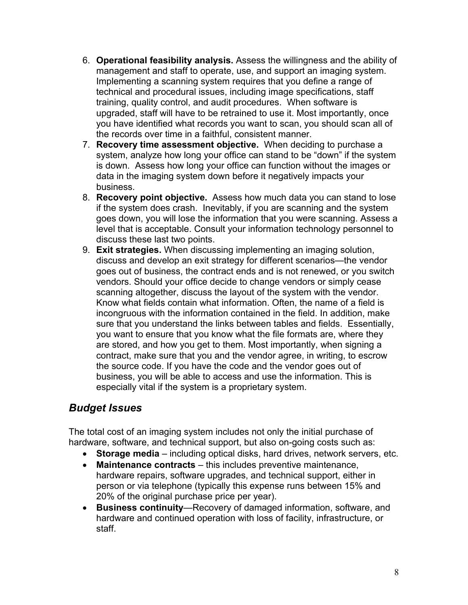- <span id="page-7-0"></span>6. **Operational feasibility analysis.** Assess the willingness and the ability of management and staff to operate, use, and support an imaging system. Implementing a scanning system requires that you define a range of technical and procedural issues, including image specifications, staff training, quality control, and audit procedures. When software is upgraded, staff will have to be retrained to use it. Most importantly, once you have identified what records you want to scan, you should scan all of the records over time in a faithful, consistent manner.
- 7. **Recovery time assessment objective.** When deciding to purchase a system, analyze how long your office can stand to be "down" if the system is down. Assess how long your office can function without the images or data in the imaging system down before it negatively impacts your business.
- 8. **Recovery point objective.** Assess how much data you can stand to lose if the system does crash. Inevitably, if you are scanning and the system goes down, you will lose the information that you were scanning. Assess a level that is acceptable. Consult your information technology personnel to discuss these last two points.
- 9. **Exit strategies.** When discussing implementing an imaging solution, discuss and develop an exit strategy for different scenarios—the vendor goes out of business, the contract ends and is not renewed, or you switch vendors. Should your office decide to change vendors or simply cease scanning altogether, discuss the layout of the system with the vendor. Know what fields contain what information. Often, the name of a field is incongruous with the information contained in the field. In addition, make sure that you understand the links between tables and fields. Essentially, you want to ensure that you know what the file formats are, where they are stored, and how you get to them. Most importantly, when signing a contract, make sure that you and the vendor agree, in writing, to escrow the source code. If you have the code and the vendor goes out of business, you will be able to access and use the information. This is especially vital if the system is a proprietary system.

### *Budget Issues*

The total cost of an imaging system includes not only the initial purchase of hardware, software, and technical support, but also on-going costs such as:

- **Storage media**  including optical disks, hard drives, network servers, etc.
- **Maintenance contracts**  this includes preventive maintenance, hardware repairs, software upgrades, and technical support, either in person or via telephone (typically this expense runs between 15% and 20% of the original purchase price per year).
- **Business continuity**—Recovery of damaged information, software, and hardware and continued operation with loss of facility, infrastructure, or staff.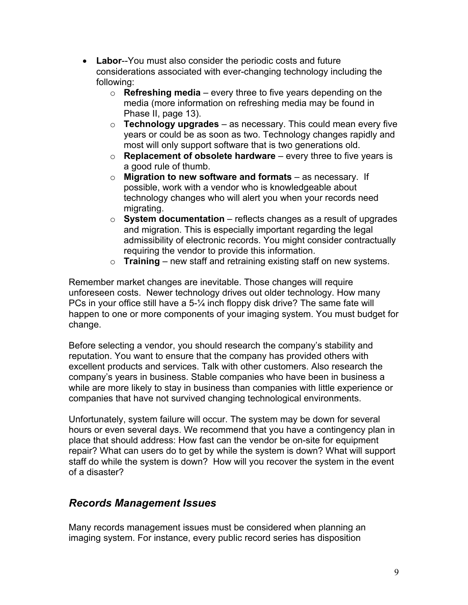- <span id="page-8-0"></span>• **Labor**--You must also consider the periodic costs and future considerations associated with ever-changing technology including the following:
	- o **Refreshing media**  every three to five years depending on the media (more information on refreshing media may be found in Phase II, page 13).
	- o **Technology upgrades**  as necessary. This could mean every five years or could be as soon as two. Technology changes rapidly and most will only support software that is two generations old.
	- o **Replacement of obsolete hardware**  every three to five years is a good rule of thumb.
	- o **Migration to new software and formats**  as necessary. If possible, work with a vendor who is knowledgeable about technology changes who will alert you when your records need migrating.
	- o **System documentation**  reflects changes as a result of upgrades and migration. This is especially important regarding the legal admissibility of electronic records. You might consider contractually requiring the vendor to provide this information.
	- o **Training**  new staff and retraining existing staff on new systems.

Remember market changes are inevitable. Those changes will require unforeseen costs. Newer technology drives out older technology. How many PCs in your office still have a 5-¼ inch floppy disk drive? The same fate will happen to one or more components of your imaging system. You must budget for change.

Before selecting a vendor, you should research the company's stability and reputation. You want to ensure that the company has provided others with excellent products and services. Talk with other customers. Also research the company's years in business. Stable companies who have been in business a while are more likely to stay in business than companies with little experience or companies that have not survived changing technological environments.

Unfortunately, system failure will occur. The system may be down for several hours or even several days. We recommend that you have a contingency plan in place that should address: How fast can the vendor be on-site for equipment repair? What can users do to get by while the system is down? What will support staff do while the system is down? How will you recover the system in the event of a disaster?

### *Records Management Issues*

Many records management issues must be considered when planning an imaging system. For instance, every public record series has disposition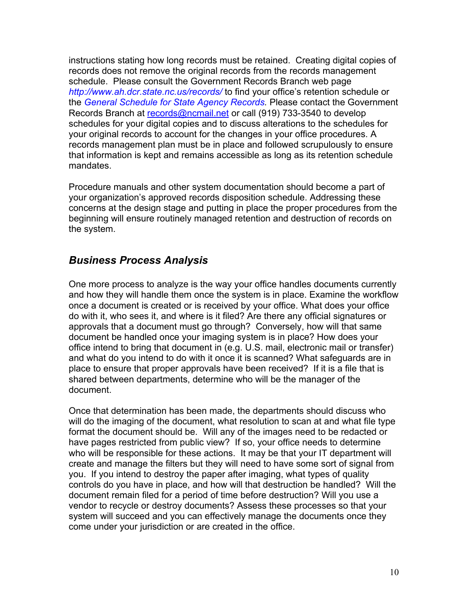<span id="page-9-0"></span>instructions stating how long records must be retained. Creating digital copies of records does not remove the original records from the records management schedule. Please consult the Government Records Branch web page *<http://www.ah.dcr.state.nc.us/records/>* to find your office's retention schedule or the *[General Schedule for State Agency Records](http://www.ah.dcr.state.nc.us/sections/archives/rec/gs.htm).* Please contact the Government Records Branch at [records@ncmail.net](mailto:records@ncmail.net) or call (919) 733-3540 to develop schedules for your digital copies and to discuss alterations to the schedules for your original records to account for the changes in your office procedures. A records management plan must be in place and followed scrupulously to ensure that information is kept and remains accessible as long as its retention schedule mandates.

Procedure manuals and other system documentation should become a part of your organization's approved records disposition schedule. Addressing these concerns at the design stage and putting in place the proper procedures from the beginning will ensure routinely managed retention and destruction of records on the system.

### *Business Process Analysis*

One more process to analyze is the way your office handles documents currently and how they will handle them once the system is in place. Examine the workflow once a document is created or is received by your office. What does your office do with it, who sees it, and where is it filed? Are there any official signatures or approvals that a document must go through? Conversely, how will that same document be handled once your imaging system is in place? How does your office intend to bring that document in (e.g. U.S. mail, electronic mail or transfer) and what do you intend to do with it once it is scanned? What safeguards are in place to ensure that proper approvals have been received? If it is a file that is shared between departments, determine who will be the manager of the document.

Once that determination has been made, the departments should discuss who will do the imaging of the document, what resolution to scan at and what file type format the document should be. Will any of the images need to be redacted or have pages restricted from public view? If so, your office needs to determine who will be responsible for these actions. It may be that your IT department will create and manage the filters but they will need to have some sort of signal from you. If you intend to destroy the paper after imaging, what types of quality controls do you have in place, and how will that destruction be handled? Will the document remain filed for a period of time before destruction? Will you use a vendor to recycle or destroy documents? Assess these processes so that your system will succeed and you can effectively manage the documents once they come under your jurisdiction or are created in the office.